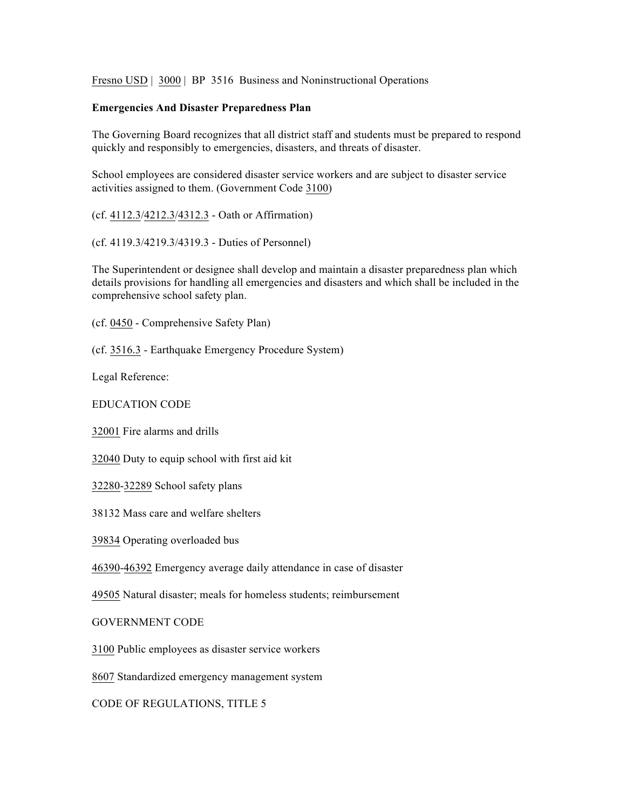Fresno USD | 3000 | BP 3516 Business and Noninstructional Operations

## **Emergencies And Disaster Preparedness Plan**

The Governing Board recognizes that all district staff and students must be prepared to respond quickly and responsibly to emergencies, disasters, and threats of disaster.

School employees are considered disaster service workers and are subject to disaster service activities assigned to them. (Government Code 3100)

(cf. 4112.3/4212.3/4312.3 - Oath or Affirmation)

(cf. 4119.3/4219.3/4319.3 - Duties of Personnel)

The Superintendent or designee shall develop and maintain a disaster preparedness plan which details provisions for handling all emergencies and disasters and which shall be included in the comprehensive school safety plan.

(cf. 0450 - Comprehensive Safety Plan)

(cf. 3516.3 - Earthquake Emergency Procedure System)

Legal Reference:

EDUCATION CODE

32001 Fire alarms and drills

32040 Duty to equip school with first aid kit

32280-32289 School safety plans

38132 Mass care and welfare shelters

39834 Operating overloaded bus

46390-46392 Emergency average daily attendance in case of disaster

49505 Natural disaster; meals for homeless students; reimbursement

GOVERNMENT CODE

3100 Public employees as disaster service workers

8607 Standardized emergency management system

CODE OF REGULATIONS, TITLE 5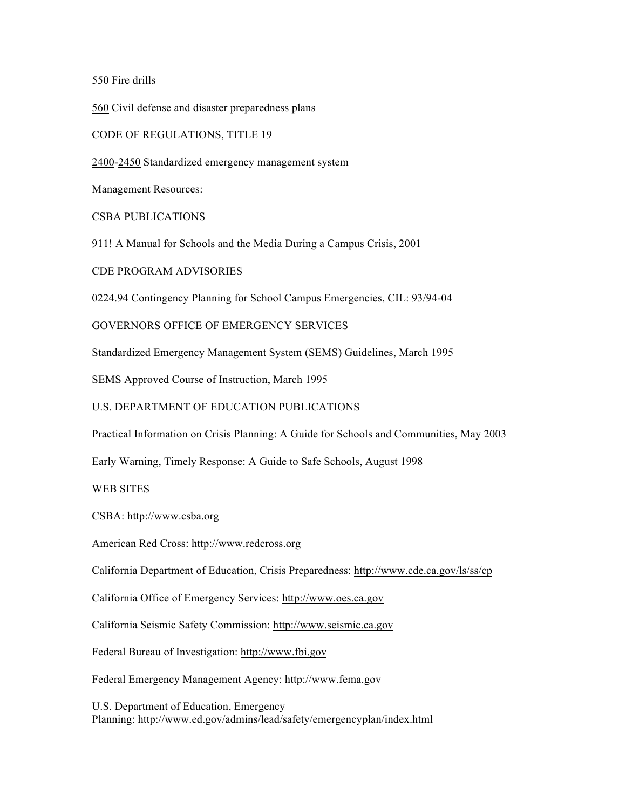550 Fire drills

560 Civil defense and disaster preparedness plans

CODE OF REGULATIONS, TITLE 19

2400-2450 Standardized emergency management system

Management Resources:

CSBA PUBLICATIONS

911! A Manual for Schools and the Media During a Campus Crisis, 2001

CDE PROGRAM ADVISORIES

0224.94 Contingency Planning for School Campus Emergencies, CIL: 93/94-04

GOVERNORS OFFICE OF EMERGENCY SERVICES

Standardized Emergency Management System (SEMS) Guidelines, March 1995

SEMS Approved Course of Instruction, March 1995

U.S. DEPARTMENT OF EDUCATION PUBLICATIONS

Practical Information on Crisis Planning: A Guide for Schools and Communities, May 2003

Early Warning, Timely Response: A Guide to Safe Schools, August 1998

WEB SITES

CSBA: http://www.csba.org

American Red Cross: http://www.redcross.org

California Department of Education, Crisis Preparedness: http://www.cde.ca.gov/ls/ss/cp

California Office of Emergency Services: http://www.oes.ca.gov

California Seismic Safety Commission: http://www.seismic.ca.gov

Federal Bureau of Investigation: http://www.fbi.gov

Federal Emergency Management Agency: http://www.fema.gov

U.S. Department of Education, Emergency Planning: http://www.ed.gov/admins/lead/safety/emergencyplan/index.html